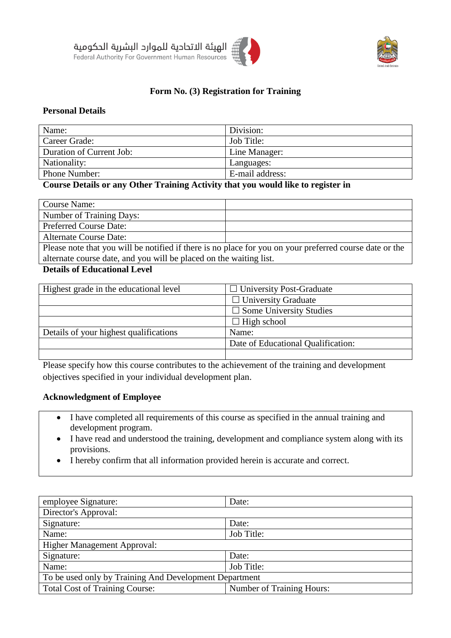



## **Form No. (3) Registration for Training**

#### **Personal Details**

| Name:                    | Division:       |
|--------------------------|-----------------|
| Career Grade:            | Job Title:      |
| Duration of Current Job: | Line Manager:   |
| Nationality:             | Languages:      |
| Phone Number:            | E-mail address: |

### **Course Details or any Other Training Activity that you would like to register in**

| Course Name:                                                                                                  |  |  |
|---------------------------------------------------------------------------------------------------------------|--|--|
| Number of Training Days:                                                                                      |  |  |
| <b>Preferred Course Date:</b>                                                                                 |  |  |
| <b>Alternate Course Date:</b>                                                                                 |  |  |
| Please note that you will be notified if there is no place for you on your preferred course date or the       |  |  |
| alternate course date, and you will be placed on the waiting list.                                            |  |  |
| $\mathbf{D}$ . $\mathbf{H}$ . $\mathbf{C}$ $\mathbf{E}$ <b>1</b> . $\mathbf{H}$ . $\mathbf{H}$ . $\mathbf{H}$ |  |  |

#### **Details of Educational Level**

| Highest grade in the educational level | $\Box$ University Post-Graduate    |
|----------------------------------------|------------------------------------|
|                                        | $\Box$ University Graduate         |
|                                        | $\Box$ Some University Studies     |
|                                        | $\Box$ High school                 |
| Details of your highest qualifications | Name:                              |
|                                        | Date of Educational Qualification: |
|                                        |                                    |

Please specify how this course contributes to the achievement of the training and development objectives specified in your individual development plan.

#### **Acknowledgment of Employee**

- I have completed all requirements of this course as specified in the annual training and development program.
- I have read and understood the training, development and compliance system along with its provisions.
- I hereby confirm that all information provided herein is accurate and correct.

| employee Signature:                                    | Date:                     |  |  |
|--------------------------------------------------------|---------------------------|--|--|
| Director's Approval:                                   |                           |  |  |
| Signature:                                             | Date:                     |  |  |
| Name:                                                  | Job Title:                |  |  |
| Higher Management Approval:                            |                           |  |  |
| Signature:                                             | Date:                     |  |  |
| Name:                                                  | Job Title:                |  |  |
| To be used only by Training And Development Department |                           |  |  |
| <b>Total Cost of Training Course:</b>                  | Number of Training Hours: |  |  |